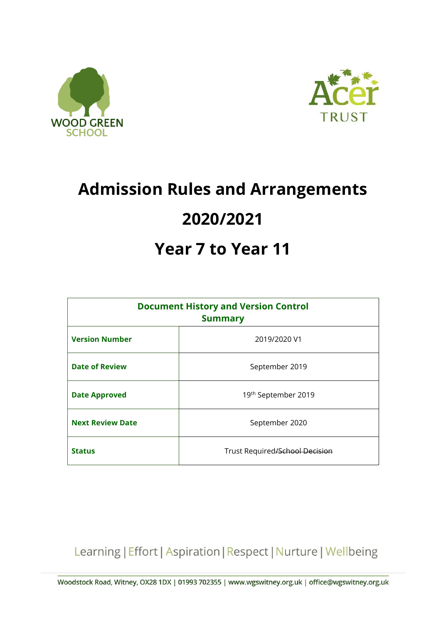



# **Admission Rules and Arrangements 2020/2021**

# **Year 7 to Year 11**

| <b>Document History and Version Control</b><br><b>Summary</b> |                                |
|---------------------------------------------------------------|--------------------------------|
| <b>Version Number</b>                                         | 2019/2020 V1                   |
| <b>Date of Review</b>                                         | September 2019                 |
| <b>Date Approved</b>                                          | 19th September 2019            |
| <b>Next Review Date</b>                                       | September 2020                 |
| <b>Status</b>                                                 | Trust Required/School Decision |

Learning | Effort | Aspiration | Respect | Nurture | Wellbeing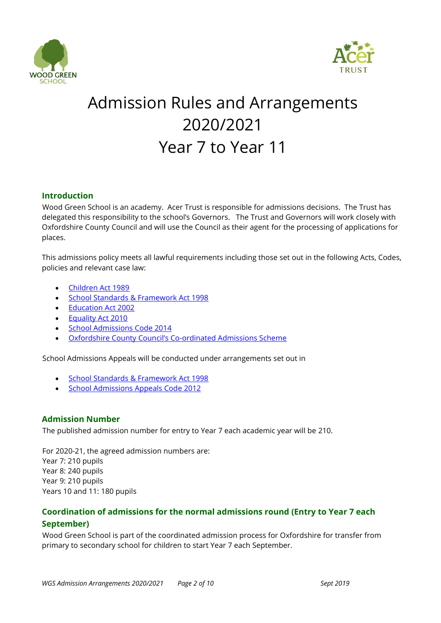



# Admission Rules and Arrangements 2020/2021 Year 7 to Year 11

# **Introduction**

Wood Green School is an academy. Acer Trust is responsible for admissions decisions. The Trust has delegated this responsibility to the school's Governors. The Trust and Governors will work closely with Oxfordshire County Council and will use the Council as their agent for the processing of applications for places.

This admissions policy meets all lawful requirements including those set out in the following Acts, Codes, policies and relevant case law:

- [Children Act 1989](http://www.legislation.gov.uk/ukpga/1989/41/contents)
- **[School Standards & Framework Act 1998](http://www.legislation.gov.uk/ukpga/1998/31/contents)**
- [Education Act 2002](http://www.legislation.gov.uk/ukpga/2002/32/contents)
- [Equality Act 2010](http://www.legislation.gov.uk/ukpga/2010/15/contents)
- **[School Admissions Code 2014](http://www.gov.uk/government/publications/school-admissions-code--2)**
- [Oxfordshire County Council's Co](http://www.oxfordshire.gov.uk/admissionrules)-ordinated Admissions Scheme

School Admissions Appeals will be conducted under arrangements set out in

- **[School Standards & Framework Act 1998](http://www.legislation.gov.uk/ukpga/1998/31/contents)**
- [School Admissions Appeals Code 2012](http://www.gov.uk/government/publications/school-admissions-appeals-code)

#### **Admission Number**

The published admission number for entry to Year 7 each academic year will be 210.

For 2020-21, the agreed admission numbers are: Year 7: 210 pupils Year 8: 240 pupils Year 9: 210 pupils Years 10 and 11: 180 pupils

# **Coordination of admissions for the normal admissions round (Entry to Year 7 each September)**

Wood Green School is part of the coordinated admission process for Oxfordshire for transfer from primary to secondary school for children to start Year 7 each September.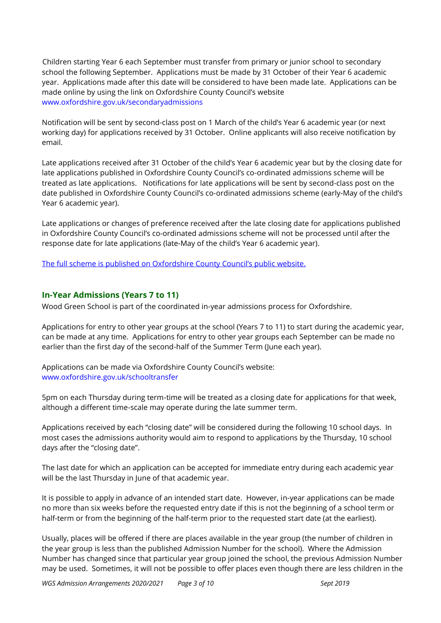Children starting Year 6 each September must transfer from primary or junior school to secondary school the following September. Applications must be made by 31 October of their Year 6 academic year. Applications made after this date will be considered to have been made late. Applications can be made online by using the link on Oxfordshire County Council's website [www.oxfordshire.gov.uk/secondaryadmissions](http://www.oxfordshire.gov.uk/secondaryadmissions)

Notification will be sent by second-class post on 1 March of the child's Year 6 academic year (or next working day) for applications received by 31 October. Online applicants will also receive notification by email.

Late applications received after 31 October of the child's Year 6 academic year but by the closing date for late applications published in Oxfordshire County Council's co-ordinated admissions scheme will be treated as late applications. Notifications for late applications will be sent by second-class post on the date published in Oxfordshire County Council's co-ordinated admissions scheme (early-May of the child's Year 6 academic year).

Late applications or changes of preference received after the late closing date for applications published in Oxfordshire County Council's co-ordinated admissions scheme will not be processed until after the response date for late applications (late-May of the child's Year 6 academic year).

The full scheme is published on Ox[fordshire County Council's public website.](http://www.oxfordshire.gov.uk/admissionrules)

#### **In-Year Admissions (Years 7 to 11)**

Wood Green School is part of the coordinated in-year admissions process for Oxfordshire.

Applications for entry to other year groups at the school (Years 7 to 11) to start during the academic year, can be made at any time. Applications for entry to other year groups each September can be made no earlier than the first day of the second-half of the Summer Term (June each year).

Applications can be made via Oxfordshire County Council's website: [www.oxfordshire.gov.uk/schooltransfer](http://www.oxfordshire.gov.uk/schooltransfer)

5pm on each Thursday during term-time will be treated as a closing date for applications for that week, although a different time-scale may operate during the late summer term.

Applications received by each "closing date" will be considered during the following 10 school days. In most cases the admissions authority would aim to respond to applications by the Thursday, 10 school days after the "closing date".

The last date for which an application can be accepted for immediate entry during each academic year will be the last Thursday in June of that academic year.

It is possible to apply in advance of an intended start date. However, in-year applications can be made no more than six weeks before the requested entry date if this is not the beginning of a school term or half-term or from the beginning of the half-term prior to the requested start date (at the earliest).

Usually, places will be offered if there are places available in the year group (the number of children in the year group is less than the published Admission Number for the school). Where the Admission Number has changed since that particular year group joined the school, the previous Admission Number may be used. Sometimes, it will not be possible to offer places even though there are less children in the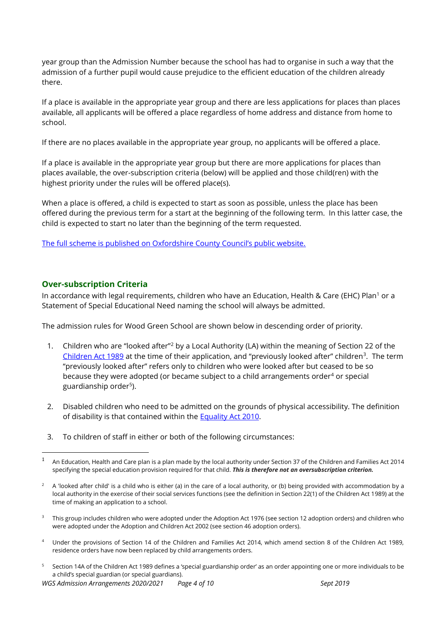year group than the Admission Number because the school has had to organise in such a way that the admission of a further pupil would cause prejudice to the efficient education of the children already there.

If a place is available in the appropriate year group and there are less applications for places than places available, all applicants will be offered a place regardless of home address and distance from home to school.

If there are no places available in the appropriate year group, no applicants will be offered a place.

If a place is available in the appropriate year group but there are more applications for places than places available, the over-subscription criteria (below) will be applied and those child(ren) with the highest priority under the rules will be offered place(s).

When a place is offered, a child is expected to start as soon as possible, unless the place has been offered during the previous term for a start at the beginning of the following term. In this latter case, the child is expected to start no later than the beginning of the term requested.

[The full scheme is published on Oxfordshire County Council's public website.](http://www.oxfordshire.gov.uk/admissionrules)

# **Over-subscription Criteria**

<u>.</u>

In accordance with legal requirements, children who have an Education, Health & Care (EHC) Plan<sup>1</sup> or a Statement of Special Educational Need naming the school will always be admitted.

The admission rules for Wood Green School are shown below in descending order of priority.

- 1. Children who are "looked after"<sup>2</sup> by a Local Authority (LA) within the meaning of Section 22 of the [Children Act 1989](http://www.legislation.gov.uk/ukpga/1989/41/contents) at the time of their application, and "previously looked after" children<sup>3</sup>. The term "previously looked after" refers only to children who were looked after but ceased to be so because they were adopted (or became subject to a child arrangements order<sup>4</sup> or special guardianship order<sup>5</sup>).
- 2. Disabled children who need to be admitted on the grounds of physical accessibility. The definition of disability is that contained within the Equality [Act 2010.](http://www.legislation.gov.uk/ukpga/2010/15/contents)
- 3. To children of staff in either or both of the following circumstances:

- <sup>3</sup> This group includes children who were adopted under the Adoption Act 1976 (see section 12 adoption orders) and children who were adopted under the Adoption and Children Act 2002 (see section 46 adoption orders).
- <sup>4</sup> Under the provisions of Section 14 of the Children and Families Act 2014, which amend section 8 of the Children Act 1989, residence orders have now been replaced by child arrangements orders.
- <sup>5</sup> Section 14A of the Children Act 1989 defines a 'special guardianship order' as an order appointing one or more individuals to be a child's special guardian (or special guardians).

*WGS Admission Arrangements 2020/2021 Page 4 of 10 Sept 2019* 

 $1 -$  An Education, Health and Care plan is a plan made by the local authority under Section 37 of the Children and Families Act 2014 specifying the special education provision required for that child. *This is therefore not an oversubscription criterion.*

<sup>&</sup>lt;sup>2</sup> A 'looked after child' is a child who is either (a) in the care of a local authority, or (b) being provided with accommodation by a local authority in the exercise of their social services functions (see the definition in Section 22(1) of the Children Act 1989) at the time of making an application to a school.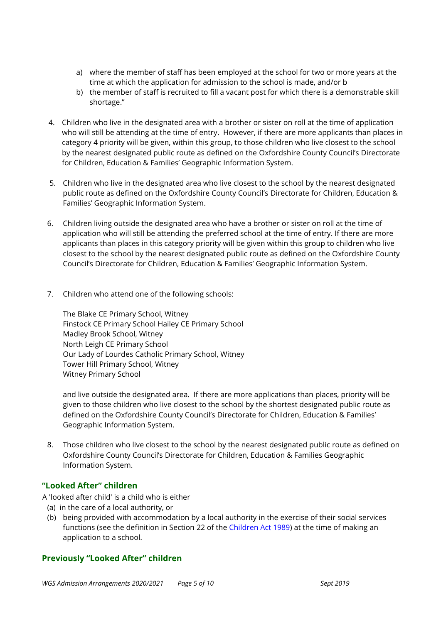- a) where the member of staff has been employed at the school for two or more years at the time at which the application for admission to the school is made, and/or b
- b) the member of staff is recruited to fill a vacant post for which there is a demonstrable skill shortage."
- 4. Children who live in the designated area with a brother or sister on roll at the time of application who will still be attending at the time of entry. However, if there are more applicants than places in category 4 priority will be given, within this group, to those children who live closest to the school by the nearest designated public route as defined on the Oxfordshire County Council's Directorate for Children, Education & Families' Geographic Information System.
- 5. Children who live in the designated area who live closest to the school by the nearest designated public route as defined on the Oxfordshire County Council's Directorate for Children, Education & Families' Geographic Information System.
- 6. Children living outside the designated area who have a brother or sister on roll at the time of application who will still be attending the preferred school at the time of entry. If there are more applicants than places in this category priority will be given within this group to children who live closest to the school by the nearest designated public route as defined on the Oxfordshire County Council's Directorate for Children, Education & Families' Geographic Information System.
- 7. Children who attend one of the following schools:

The Blake CE Primary School, Witney Finstock CE Primary School Hailey CE Primary School Madley Brook School, Witney North Leigh CE Primary School Our Lady of Lourdes Catholic Primary School, Witney Tower Hill Primary School, Witney Witney Primary School

and live outside the designated area. If there are more applications than places, priority will be given to those children who live closest to the school by the shortest designated public route as defined on the Oxfordshire County Council's Directorate for Children, Education & Families' Geographic Information System.

8. Those children who live closest to the school by the nearest designated public route as defined on Oxfordshire County Council's Directorate for Children, Education & Families Geographic Information System.

# **"Looked After" children**

A 'looked after child' is a child who is either

- (a) in the care of a local authority, or
- (b) being provided with accommodation by a local authority in the exercise of their social services functions (see the definition in Section 22 of the [Children Act 1989\)](http://www.legislation.gov.uk/ukpga/1989/41/contents) at the time of making an application to a school.

# **Previously "Looked After" children**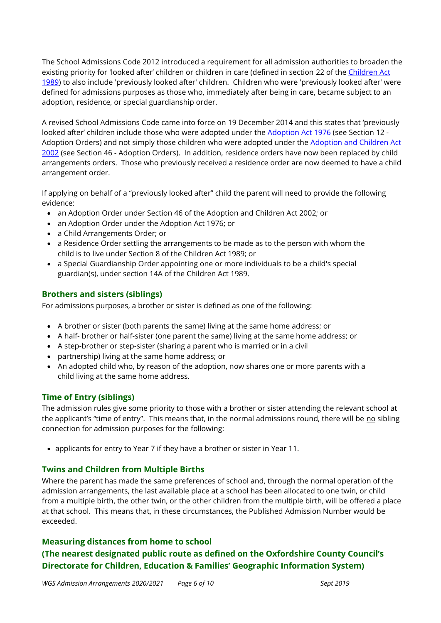The School Admissions Code 2012 introduced a requirement for all admission authorities to broaden the existing priority for 'looked after' children or children in care (defined in section 22 of the Children Act [1989\)](http://www.legislation.gov.uk/ukpga/1989/41/contents) to also include 'previously looked after' children. Children who were 'previously looked after' were defined for admissions purposes as those who, immediately after being in care, became subject to an adoption, residence, or special guardianship order.

A revised School Admissions Code came into force on 19 December 2014 and this states that 'previously looked after' children include those who were adopted under the [Adoption Act 1976](http://www.legislation.gov.uk/ukpga/1976/36/contents) (see Section 12 -Adoption Orders) and not simply those children who were adopted under the [Adoption and Children Act](http://www.legislation.gov.uk/ukpga/2002/38/contents)  [2002](http://www.legislation.gov.uk/ukpga/2002/38/contents) (see Section 46 - Adoption Orders). In addition, residence orders have now been replaced by child arrangements orders. Those who previously received a residence order are now deemed to have a child arrangement order.

If applying on behalf of a "previously looked after" child the parent will need to provide the following evidence:

- an Adoption Order under Section 46 of the Adoption and Children Act 2002; or
- an Adoption Order under the Adoption Act 1976; or
- a Child Arrangements Order; or
- a Residence Order settling the arrangements to be made as to the person with whom the child is to live under Section 8 of the Children Act 1989; or
- a Special Guardianship Order appointing one or more individuals to be a child's special guardian(s), under section 14A of the Children Act 1989.

# **Brothers and sisters (siblings)**

For admissions purposes, a brother or sister is defined as one of the following:

- A brother or sister (both parents the same) living at the same home address; or
- A half- brother or half-sister (one parent the same) living at the same home address; or
- A step-brother or step-sister (sharing a parent who is married or in a civil
- partnership) living at the same home address; or
- An adopted child who, by reason of the adoption, now shares one or more parents with a child living at the same home address.

# **Time of Entry (siblings)**

The admission rules give some priority to those with a brother or sister attending the relevant school at the applicant's "time of entry". This means that, in the normal admissions round, there will be no sibling connection for admission purposes for the following:

applicants for entry to Year 7 if they have a brother or sister in Year 11.

# **Twins and Children from Multiple Births**

Where the parent has made the same preferences of school and, through the normal operation of the admission arrangements, the last available place at a school has been allocated to one twin, or child from a multiple birth, the other twin, or the other children from the multiple birth, will be offered a place at that school. This means that, in these circumstances, the Published Admission Number would be exceeded.

#### **Measuring distances from home to school**

# **(The nearest designated public route as defined on the Oxfordshire County Council's Directorate for Children, Education & Families' Geographic Information System)**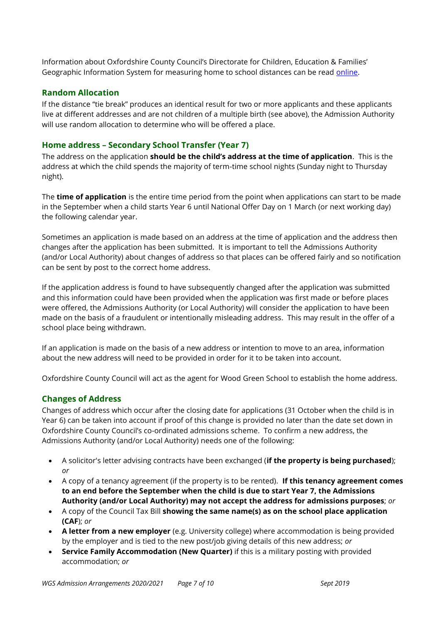Information about Oxfordshire County Council's Directorate for Children, Education & Families' Geographic Information System for measuring home to school distances can be read [online.](http://www.oxfordshire.gov.uk/cms/sites/default/files/folders/documents/childreneducationandfamilies/educationandlearning/schools/admissionpolicies/Measuring.pdf)

#### **Random Allocation**

If the distance "tie break" produces an identical result for two or more applicants and these applicants live at different addresses and are not children of a multiple birth (see above), the Admission Authority will use random allocation to determine who will be offered a place.

#### **Home address – Secondary School Transfer (Year 7)**

The address on the application **should be the child's address at the time of application**.This is the address at which the child spends the majority of term-time school nights (Sunday night to Thursday night).

The **time of application** is the entire time period from the point when applications can start to be made in the September when a child starts Year 6 until National Offer Day on 1 March (or next working day) the following calendar year.

Sometimes an application is made based on an address at the time of application and the address then changes after the application has been submitted. It is important to tell the Admissions Authority (and/or Local Authority) about changes of address so that places can be offered fairly and so notification can be sent by post to the correct home address.

If the application address is found to have subsequently changed after the application was submitted and this information could have been provided when the application was first made or before places were offered, the Admissions Authority (or Local Authority) will consider the application to have been made on the basis of a fraudulent or intentionally misleading address. This may result in the offer of a school place being withdrawn.

If an application is made on the basis of a new address or intention to move to an area, information about the new address will need to be provided in order for it to be taken into account.

Oxfordshire County Council will act as the agent for Wood Green School to establish the home address.

#### **Changes of Address**

Changes of address which occur after the closing date for applications (31 October when the child is in Year 6) can be taken into account if proof of this change is provided no later than the date set down in Oxfordshire County Council's co-ordinated admissions scheme. To confirm a new address, the Admissions Authority (and/or Local Authority) needs one of the following:

- A solicitor's letter advising contracts have been exchanged (**if the property is being purchased**); *or*
- A copy of a tenancy agreement (if the property is to be rented). **If this tenancy agreement comes to an end before the September when the child is due to start Year 7, the Admissions Authority (and/or Local Authority) may not accept the address for admissions purposes**; *or*
- A copy of the Council Tax Bill **showing the same name(s) as on the school place application (CAF**); *or*
- **A letter from a new employer** (e.g. University college) where accommodation is being provided by the employer and is tied to the new post/job giving details of this new address; *or*
- **Service Family Accommodation (New Quarter)** if this is a military posting with provided accommodation; *or*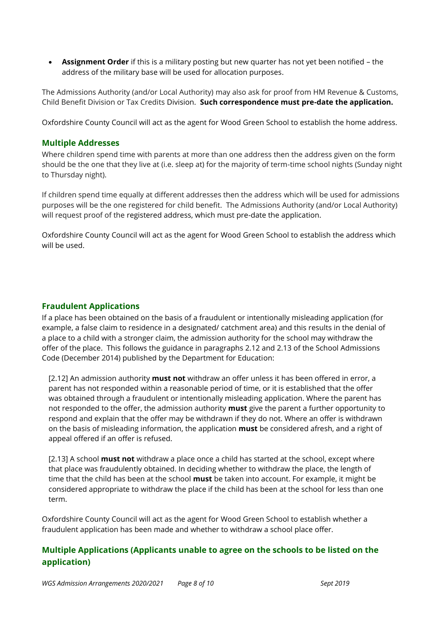**Assignment Order** if this is a military posting but new quarter has not yet been notified – the address of the military base will be used for allocation purposes.

The Admissions Authority (and/or Local Authority) may also ask for proof from HM Revenue & Customs, Child Benefit Division or Tax Credits Division. **Such correspondence must pre-date the application.**

Oxfordshire County Council will act as the agent for Wood Green School to establish the home address.

#### **Multiple Addresses**

Where children spend time with parents at more than one address then the address given on the form should be the one that they live at (i.e. sleep at) for the majority of term-time school nights (Sunday night to Thursday night).

If children spend time equally at different addresses then the address which will be used for admissions purposes will be the one registered for child benefit. The Admissions Authority (and/or Local Authority) will request proof of the registered address, which must pre-date the application.

Oxfordshire County Council will act as the agent for Wood Green School to establish the address which will be used.

# **Fraudulent Applications**

If a place has been obtained on the basis of a fraudulent or intentionally misleading application (for example, a false claim to residence in a designated/ catchment area) and this results in the denial of a place to a child with a stronger claim, the admission authority for the school may withdraw the offer of the place. This follows the guidance in paragraphs 2.12 and 2.13 of the School Admissions Code (December 2014) published by the Department for Education:

[2.12] An admission authority **must not** withdraw an offer unless it has been offered in error, a parent has not responded within a reasonable period of time, or it is established that the offer was obtained through a fraudulent or intentionally misleading application. Where the parent has not responded to the offer, the admission authority **must** give the parent a further opportunity to respond and explain that the offer may be withdrawn if they do not. Where an offer is withdrawn on the basis of misleading information, the application **must** be considered afresh, and a right of appeal offered if an offer is refused.

[2.13] A school **must not** withdraw a place once a child has started at the school, except where that place was fraudulently obtained. In deciding whether to withdraw the place, the length of time that the child has been at the school **must** be taken into account. For example, it might be considered appropriate to withdraw the place if the child has been at the school for less than one term.

Oxfordshire County Council will act as the agent for Wood Green School to establish whether a fraudulent application has been made and whether to withdraw a school place offer.

# **Multiple Applications (Applicants unable to agree on the schools to be listed on the application)**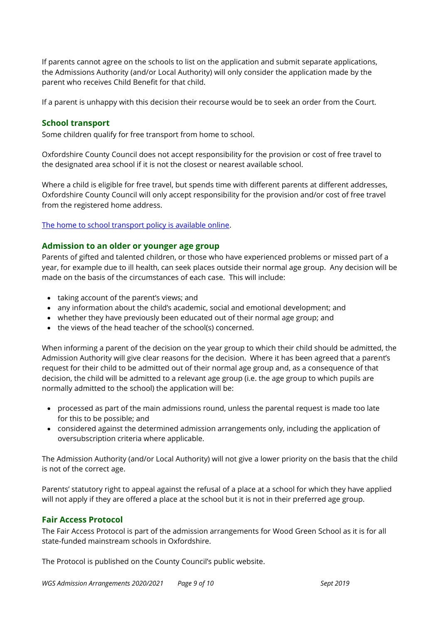If parents cannot agree on the schools to list on the application and submit separate applications, the Admissions Authority (and/or Local Authority) will only consider the application made by the parent who receives Child Benefit for that child.

If a parent is unhappy with this decision their recourse would be to seek an order from the Court.

#### **School transport**

Some children qualify for free transport from home to school.

Oxfordshire County Council does not accept responsibility for the provision or cost of free travel to the designated area school if it is not the closest or nearest available school.

Where a child is eligible for free travel, but spends time with different parents at different addresses, Oxfordshire County Council will only accept responsibility for the provision and/or cost of free travel from the registered home address.

#### [The home to school transport policy is available online.](http://www.oxfordshire.gov.uk/schooltransport)

#### **Admission to an older or younger age group**

Parents of gifted and talented children, or those who have experienced problems or missed part of a year, for example due to ill health, can seek places outside their normal age group. Any decision will be made on the basis of the circumstances of each case. This will include:

- taking account of the parent's views; and
- any information about the child's academic, social and emotional development; and
- whether they have previously been educated out of their normal age group; and
- the views of the head teacher of the school(s) concerned.

When informing a parent of the decision on the year group to which their child should be admitted, the Admission Authority will give clear reasons for the decision. Where it has been agreed that a parent's request for their child to be admitted out of their normal age group and, as a consequence of that decision, the child will be admitted to a relevant age group (i.e. the age group to which pupils are normally admitted to the school) the application will be:

- processed as part of the main admissions round, unless the parental request is made too late for this to be possible; and
- considered against the determined admission arrangements only, including the application of oversubscription criteria where applicable.

The Admission Authority (and/or Local Authority) will not give a lower priority on the basis that the child is not of the correct age.

Parents' statutory right to appeal against the refusal of a place at a school for which they have applied will not apply if they are offered a place at the school but it is not in their preferred age group.

#### **Fair Access Protocol**

The Fair Access Protocol is part of the admission arrangements for Wood Green School as it is for all state-funded mainstream schools in Oxfordshire.

The Protocol is published on the County Council's public website.